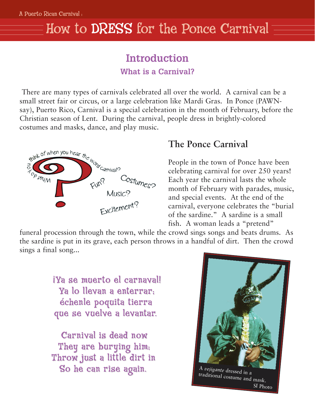## How to DRESS for the Ponce Carnival  $=$

## **Introduction**

**What is a Carnival?**

There are many types of carnivals celebrated all over the world. A carnival can be a small street fair or circus, or a large celebration like Mardi Gras. In Ponce (PAWNsay), Puerto Rico, Carnival is a special celebration in the month of February, before the Christian season of Lent. During the carnival, people dress in brightly-colored costumes and masks, dance, and play music.



## **The Ponce Carnival**

People in the town of Ponce have been celebrating carnival for over 250 years! Each year the carnival lasts the whole month of February with parades, music, and special events. At the end of the carnival, everyone celebrates the "burial of the sardine." A sardine is a small fish. A woman leads a "pretend"

funeral procession through the town, while the crowd sings songs and beats drums. As the sardine is put in its grave, each person throws in a handful of dirt. Then the crowd sings a final song...

> ¡Ya se muerto el carnaval! Ya lo llevan a enterrar; échenle poquita tierra que se vuelve a levantar.

Carnival is dead now They are burying him; Throw just a little dirt in So he can rise again. A *vejigante* dressed in a



traditional costume and mask. SI Photo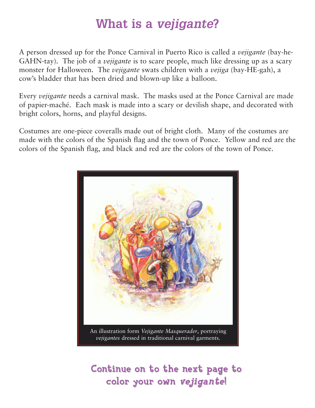## **What is a** *vejigante***?**

A person dressed up for the Ponce Carnival in Puerto Rico is called a *vejigante* (bay-he-GAHN-tay). The job of a *vejigante* is to scare people, much like dressing up as a scary monster for Halloween. The *vejigante* swats children with a *vejiga* (bay-HE-gah), a cow's bladder that has been dried and blown-up like a balloon.

Every *vejigante* needs a carnival mask. The masks used at the Ponce Carnival are made of papier-maché. Each mask is made into a scary or devilish shape, and decorated with bright colors, horns, and playful designs.

Costumes are one-piece coveralls made out of bright cloth. Many of the costumes are made with the colors of the Spanish flag and the town of Ponce. Yellow and red are the colors of the Spanish flag, and black and red are the colors of the town of Ponce.



*vejigantes* dressed in traditional carnival garments.

Continue on to the next page to color your own vejigante!